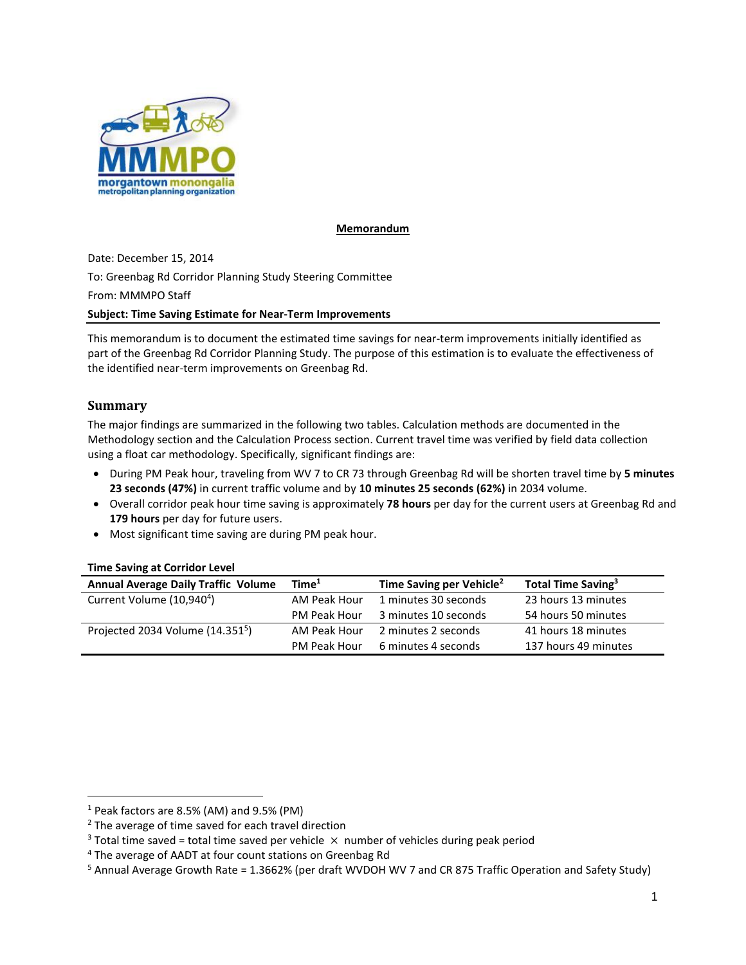

### **Memorandum**

Date: December 15, 2014 To: Greenbag Rd Corridor Planning Study Steering Committee From: MMMPO Staff **Subject: Time Saving Estimate for Near-Term Improvements**

This memorandum is to document the estimated time savings for near-term improvements initially identified as part of the Greenbag Rd Corridor Planning Study. The purpose of this estimation is to evaluate the effectiveness of the identified near-term improvements on Greenbag Rd.

# **Summary**

l

The major findings are summarized in the following two tables. Calculation methods are documented in the Methodology section and the Calculation Process section. Current travel time was verified by field data collection using a float car methodology. Specifically, significant findings are:

- During PM Peak hour, traveling from WV 7 to CR 73 through Greenbag Rd will be shorten travel time by **5 minutes 23 seconds (47%)** in current traffic volume and by **10 minutes 25 seconds (62%)** in 2034 volume.
- Overall corridor peak hour time saving is approximately **78 hours** per day for the current users at Greenbag Rd and **179 hours** per day for future users.
- Most significant time saving are during PM peak hour.

### **Time Saving at Corridor Level**

| <b>Annual Average Daily Traffic Volume</b>   | Time <sup>1</sup> | Time Saving per Vehicle <sup>2</sup> | Total Time Saving <sup>3</sup> |
|----------------------------------------------|-------------------|--------------------------------------|--------------------------------|
| Current Volume (10,940 <sup>4</sup> )        | AM Peak Hour      | 1 minutes 30 seconds                 | 23 hours 13 minutes            |
|                                              | PM Peak Hour      | 3 minutes 10 seconds                 | 54 hours 50 minutes            |
| Projected 2034 Volume (14.351 <sup>5</sup> ) | AM Peak Hour      | 2 minutes 2 seconds                  | 41 hours 18 minutes            |
|                                              | PM Peak Hour      | 6 minutes 4 seconds                  | 137 hours 49 minutes           |

 $1$  Peak factors are 8.5% (AM) and 9.5% (PM)

<sup>&</sup>lt;sup>2</sup> The average of time saved for each travel direction

<sup>&</sup>lt;sup>3</sup> Total time saved = total time saved per vehicle  $\times$  number of vehicles during peak period

<sup>&</sup>lt;sup>4</sup> The average of AADT at four count stations on Greenbag Rd

<sup>5</sup> Annual Average Growth Rate = 1.3662% (per draft WVDOH WV 7 and CR 875 Traffic Operation and Safety Study)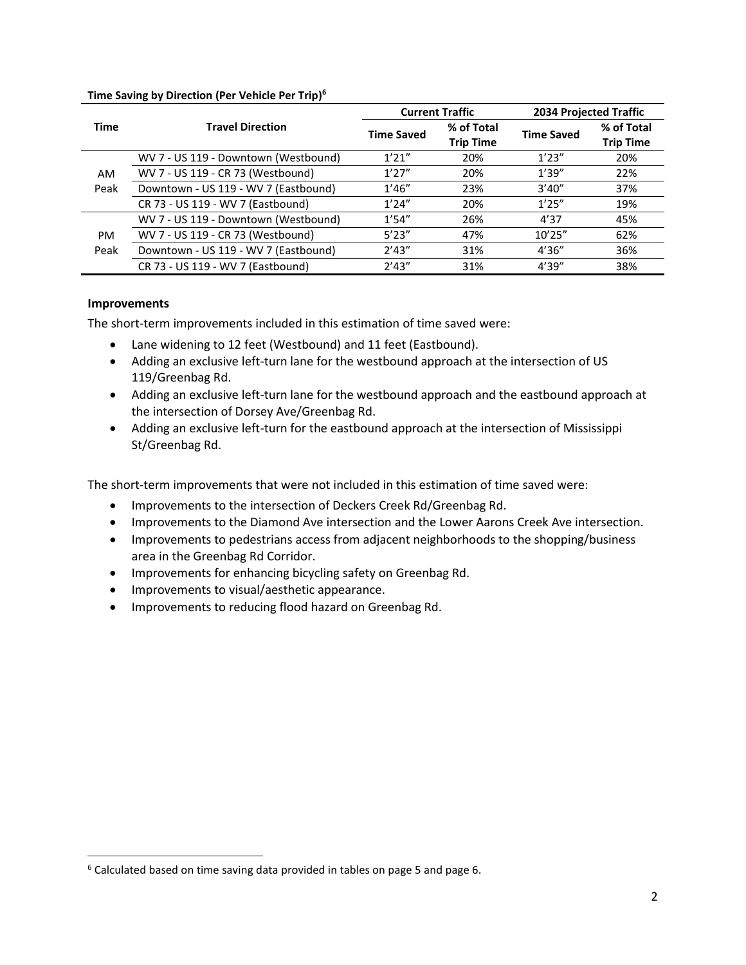|                   |                                      |                   | <b>Current Traffic</b>         | 2034 Projected Traffic |                                |  |
|-------------------|--------------------------------------|-------------------|--------------------------------|------------------------|--------------------------------|--|
| <b>Time</b>       | <b>Travel Direction</b>              | <b>Time Saved</b> | % of Total<br><b>Trip Time</b> | <b>Time Saved</b>      | % of Total<br><b>Trip Time</b> |  |
|                   | WV 7 - US 119 - Downtown (Westbound) | 1'21''            | 20%                            | 1'23''                 | 20%                            |  |
| AM<br>Peak        | WV 7 - US 119 - CR 73 (Westbound)    | 1'27''            | 20%                            | 1'39''                 | 22%                            |  |
|                   | Downtown - US 119 - WV 7 (Eastbound) | 1'46''            | 23%                            | 3'40''                 | 37%                            |  |
|                   | CR 73 - US 119 - WV 7 (Eastbound)    | 1'24''            | 20%                            | 1'25''                 | 19%                            |  |
|                   | WV 7 - US 119 - Downtown (Westbound) | 1'54''            | 26%                            | 4'37                   | 45%                            |  |
| <b>PM</b><br>Peak | WV 7 - US 119 - CR 73 (Westbound)    | 5'23''            | 47%                            | 10'25''                | 62%                            |  |
|                   | Downtown - US 119 - WV 7 (Eastbound) | 2'43''            | 31%                            | 4'36''                 | 36%                            |  |
|                   | CR 73 - US 119 - WV 7 (Eastbound)    | 2'43''            | 31%                            | 4'39''                 | 38%                            |  |

### **Time Saving by Direction (Per Vehicle Per Trip) 6**

### **Improvements**

 $\overline{\phantom{a}}$ 

The short-term improvements included in this estimation of time saved were:

- Lane widening to 12 feet (Westbound) and 11 feet (Eastbound).
- Adding an exclusive left-turn lane for the westbound approach at the intersection of US 119/Greenbag Rd.
- Adding an exclusive left-turn lane for the westbound approach and the eastbound approach at the intersection of Dorsey Ave/Greenbag Rd.
- Adding an exclusive left-turn for the eastbound approach at the intersection of Mississippi St/Greenbag Rd.

The short-term improvements that were not included in this estimation of time saved were:

- **Improvements to the intersection of Deckers Creek Rd/Greenbag Rd.**
- **Improvements to the Diamond Ave intersection and the Lower Aarons Creek Ave intersection.**
- Improvements to pedestrians access from adjacent neighborhoods to the shopping/business area in the Greenbag Rd Corridor.
- Improvements for enhancing bicycling safety on Greenbag Rd.
- Improvements to visual/aesthetic appearance.
- **Improvements to reducing flood hazard on Greenbag Rd.**

<sup>&</sup>lt;sup>6</sup> Calculated based on time saving data provided in tables on page 5 and page 6.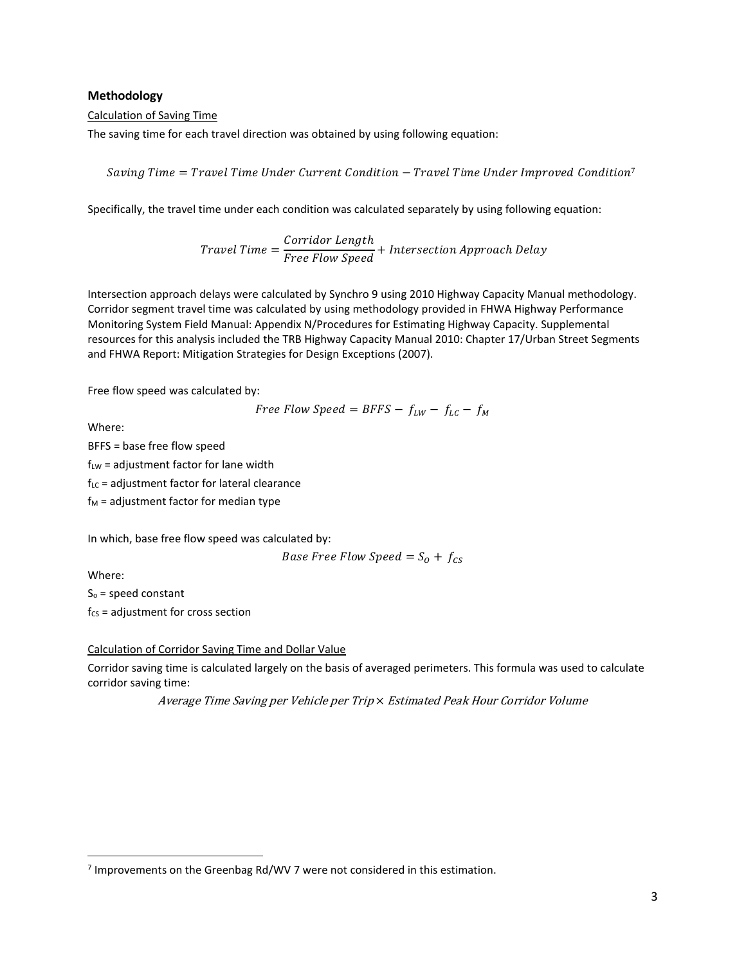### **Methodology**

#### Calculation of Saving Time

The saving time for each travel direction was obtained by using following equation:

Saving Time  $=$  Travel Time Under Current Condition  $-$  Travel Time Under Improved Condition<sup>7</sup>

Specifically, the travel time under each condition was calculated separately by using following equation:

Travel Time =  $\frac{Corridor \ Length}{Free \ Flow \ Speed} + Intersection \ Approach \ Delay$ 

Intersection approach delays were calculated by Synchro 9 using 2010 Highway Capacity Manual methodology. Corridor segment travel time was calculated by using methodology provided in FHWA Highway Performance Monitoring System Field Manual: Appendix N/Procedures for Estimating Highway Capacity. Supplemental resources for this analysis included the TRB Highway Capacity Manual 2010: Chapter 17/Urban Street Segments and FHWA Report: Mitigation Strategies for Design Exceptions (2007).

Free flow speed was calculated by:

Free Flow Speed = BFFS - 
$$
f_{LW}
$$
 -  $f_{LC}$  -  $f_M$ 

Where:

BFFS = base free flow speed

 $f_{LW}$  = adjustment factor for lane width

 $f_{LC}$  = adjustment factor for lateral clearance

 $f_M$  = adjustment factor for median type

In which, base free flow speed was calculated by:

*Base Free Flow Speed* =  $S_0$  +  $f_{CS}$ 

Where:

 $\overline{\phantom{a}}$ 

 $S<sub>o</sub>$  = speed constant

 $f_{CS}$  = adjustment for cross section

Calculation of Corridor Saving Time and Dollar Value

Corridor saving time is calculated largely on the basis of averaged perimeters. This formula was used to calculate corridor saving time:

Average Time Saving per Vehicle per Trip × Estimated Peak Hour Corridor Volume

<sup>&</sup>lt;sup>7</sup> Improvements on the Greenbag Rd/WV 7 were not considered in this estimation.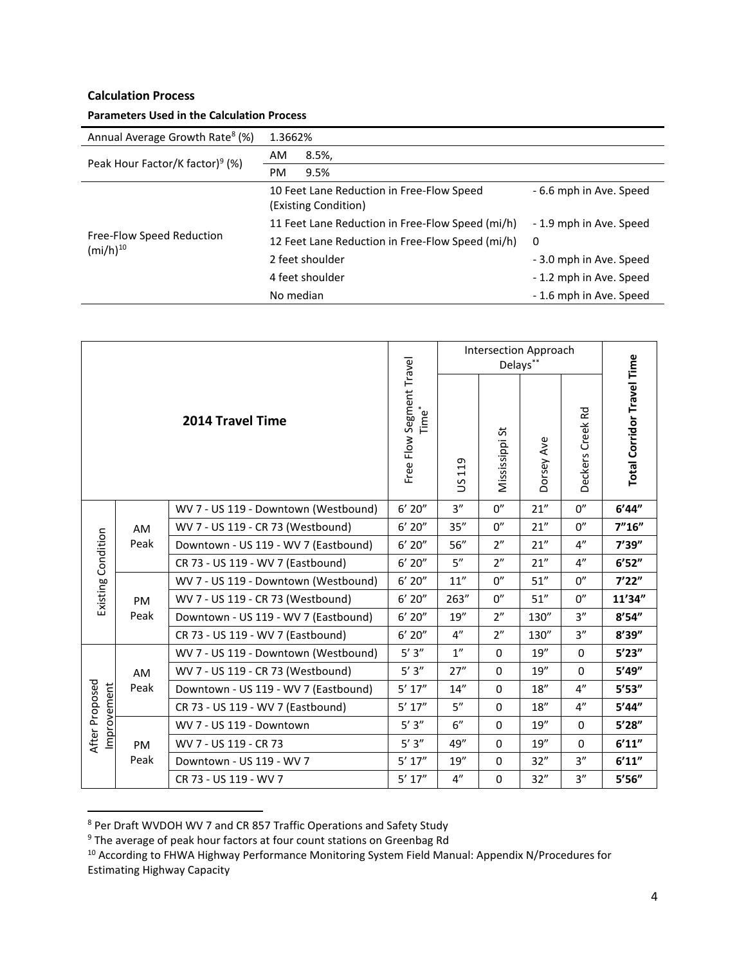# **Calculation Process**

| <b>Parameters Used in the Calculation Process</b> |                                                  |                                                                   |                         |  |  |  |
|---------------------------------------------------|--------------------------------------------------|-------------------------------------------------------------------|-------------------------|--|--|--|
| Annual Average Growth Rate <sup>8</sup> (%)       | 1.3662%                                          |                                                                   |                         |  |  |  |
| Peak Hour Factor/K factor) <sup>9</sup> (%)       | AM                                               | 8.5%                                                              |                         |  |  |  |
|                                                   | PM.                                              | 9.5%                                                              |                         |  |  |  |
|                                                   |                                                  | 10 Feet Lane Reduction in Free-Flow Speed<br>(Existing Condition) | - 6.6 mph in Ave. Speed |  |  |  |
|                                                   | 11 Feet Lane Reduction in Free-Flow Speed (mi/h) |                                                                   | - 1.9 mph in Ave. Speed |  |  |  |
| Free-Flow Speed Reduction                         | 12 Feet Lane Reduction in Free-Flow Speed (mi/h) |                                                                   | $\Omega$                |  |  |  |
| $(mi/h)^{10}$                                     |                                                  | 2 feet shoulder                                                   | - 3.0 mph in Ave. Speed |  |  |  |
|                                                   |                                                  | 4 feet shoulder                                                   | - 1.2 mph in Ave. Speed |  |  |  |
|                                                   | No median                                        |                                                                   | - 1.6 mph in Ave. Speed |  |  |  |

| <b>2014 Travel Time</b>       |                   |                                               | Intersection Approach<br>Delays** |                     |             |                     |                            |          |
|-------------------------------|-------------------|-----------------------------------------------|-----------------------------------|---------------------|-------------|---------------------|----------------------------|----------|
|                               |                   | Free Flow Segment Travel<br>Time <sup>*</sup> | 119<br>S                          | Mississippi St      | Dorsey Ave  | Rd<br>Deckers Creek | Total Corridor Travel Time |          |
|                               | AM<br>Peak        | WV 7 - US 119 - Downtown (Westbound)          | 6' 20''                           | 3''                 | 0''         | 21''                | 0''                        | 6'44''   |
|                               |                   | WV 7 - US 119 - CR 73 (Westbound)             | $6'$ 20"                          | 35"                 | 0''         | 21''                | 0''                        | 7"16"    |
|                               |                   | Downtown - US 119 - WV 7 (Eastbound)          | $6'$ 20"                          | 56"                 | 2"          | 21''                | $4^{\prime\prime}$         | 7'39''   |
| Existing Condition            |                   | CR 73 - US 119 - WV 7 (Eastbound)             | $6'$ 20"                          | 5''                 | 2"          | 21"                 | 4"                         | 6'52''   |
|                               | <b>PM</b><br>Peak | WV 7 - US 119 - Downtown (Westbound)          | $6'$ 20"                          | $11^{\prime\prime}$ | 0''         | 51"                 | 0''                        | 7'22"    |
|                               |                   | WV 7 - US 119 - CR 73 (Westbound)             | $6'$ 20"                          | 263"                | 0''         | 51"                 | 0''                        | 11'34"   |
|                               |                   | Downtown - US 119 - WV 7 (Eastbound)          | 6' 20''                           | 19''                | 2"          | 130"                | 3''                        | 8'54''   |
|                               |                   | CR 73 - US 119 - WV 7 (Eastbound)             | 6' 20''                           | 4"                  | 2"          | 130"                | 3''                        | 8'39''   |
|                               | AM<br>Peak        | WV 7 - US 119 - Downtown (Westbound)          | $5'3''$                           | 1"                  | $\Omega$    | 19''                | $\Omega$                   | 5'23''   |
|                               |                   | WV 7 - US 119 - CR 73 (Westbound)             | $5'3''$                           | 27"                 | $\mathbf 0$ | 19''                | $\Omega$                   | 5'49''   |
|                               |                   | Downtown - US 119 - WV 7 (Eastbound)          | $5'$ $17''$                       | 14"                 | $\mathbf 0$ | 18"                 | $4^{\prime\prime}$         | 5'53''   |
| After Proposed<br>Improvement |                   | CR 73 - US 119 - WV 7 (Eastbound)             | $5'$ 17"                          | 5''                 | $\mathbf 0$ | 18"                 | $4^{\prime\prime}$         | 5'44''   |
|                               | <b>PM</b><br>Peak | WV 7 - US 119 - Downtown                      | $5'3''$                           | 6"                  | $\mathbf 0$ | 19''                | $\mathbf 0$                | $5'28''$ |
|                               |                   | WV 7 - US 119 - CR 73                         | 5'3''                             | 49"                 | $\mathbf 0$ | 19''                | $\Omega$                   | 6'11''   |
|                               |                   | Downtown - US 119 - WV 7                      | $5'$ 17"                          | 19''                | $\mathbf 0$ | 32"                 | 3''                        | 6'11''   |
|                               |                   | CR 73 - US 119 - WV 7                         | 5' 17''                           | 4"                  | $\mathbf 0$ | 32"                 | 3''                        | 5'56''   |

<sup>&</sup>lt;sup>8</sup> Per Draft WVDOH WV 7 and CR 857 Traffic Operations and Safety Study

 $\overline{a}$ 

<sup>9</sup> The average of peak hour factors at four count stations on Greenbag Rd

<sup>10</sup> According to FHWA Highway Performance Monitoring System Field Manual: Appendix N/Procedures for Estimating Highway Capacity